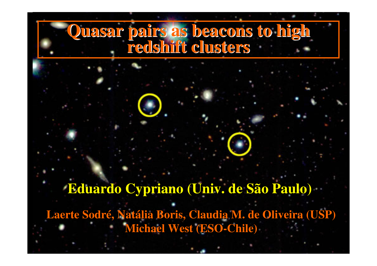#### **Quasar pairs as beacons to high redshift clusters**

**Laerte Sodré, Natália Boris, Claudia M. de Oliveira (USP)Michael West (ESO-Chile)Eduardo Cypriano (Univ. de São Paulo)**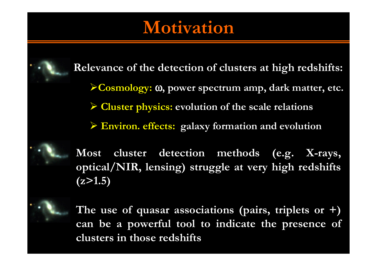#### Motivation

Relevance of the detection of clusters at high redshifts:Cosmology: <sup>ω</sup>, power spectrum amp, dark matter, etc.  $\blacktriangleright$  Cluster physics: evolution of the scale relations Environ. effects: galaxy formation and evolution

Most cluster detection methods (e.g. X-rays, optical/NIR, lensing) struggle at very high redshifts $(z>1.5)$ 



The use of quasar associations (pairs, triplets or +) can be a powerful tool to indicate the presence of clusters in those redshifts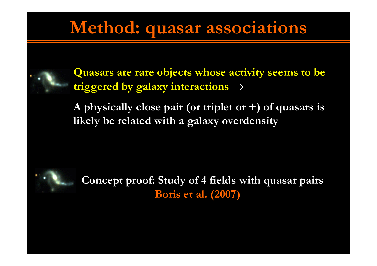#### Method: quasar associations



Quasars are rare objects whose activity seems to be triggered by galaxy interactions <sup>→</sup>

A physically close pair (or triplet or  $+$ ) of quasars is likely be related with a galaxy overdensity



Concept proof: Study of 4 fields with quasar pairs Boris et al. (2007)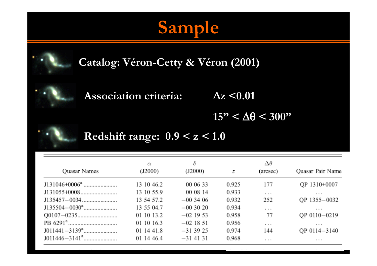## Sample



Catalog: Véron-Cetty & Véron (2001)

Association criteria:  $\Delta z < 0.01$ 

 $15" < \Delta\theta < 300"$ 



Redshift range:  $0.9 < z < 1.0$ 

| Quasar Names     | $\alpha$<br>(J2000) | δ<br>(J2000) | z     | $\Delta\theta$<br>(arcsec) | Quasar Pair Name |
|------------------|---------------------|--------------|-------|----------------------------|------------------|
| $J131046+0006^a$ | 13 10 46.2          | 00 06 33     | 0.925 | 177                        | QP 1310+0007     |
|                  | 13 10 55.9          | 00 08 14     | 0.933 | $\cdots$                   | $\cdots$         |
|                  | 13 54 57.2          | $-003406$    | 0.932 | 252                        | QP 1355-0032     |
|                  | 13 55 04.7          | $-003020$    | 0.934 | $\cdots$                   | $\cdots$         |
|                  | 01 10 13.2          | $-02$ 19 53  | 0.958 | 77                         | QP 0110-0219     |
|                  | 01 10 16.3          | $-02$ 18 51  | 0.956 | $\sim$ $\sim$ $\sim$       | $\cdots$         |
|                  | 01 14 41.8          | $-313925$    | 0.974 | 144                        | OP 0114-3140     |
|                  | 01 14 46.4          | $-31$ 41 31  | 0.968 | $\cdots$                   | $\cdots$         |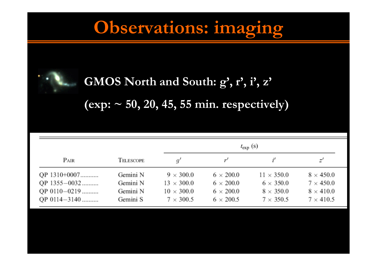## Observations: imaging



#### GMOS North and South: g', r', i', z'

(exp:  $\sim$  50, 20, 45, 55 min. respectively)

|                                                              |                                              |                                                                                | $t_{\rm exp}$ (s)                                                            |                                                                               |                                                                              |  |  |
|--------------------------------------------------------------|----------------------------------------------|--------------------------------------------------------------------------------|------------------------------------------------------------------------------|-------------------------------------------------------------------------------|------------------------------------------------------------------------------|--|--|
| Pair                                                         | TELESCOPE                                    | q'                                                                             |                                                                              |                                                                               |                                                                              |  |  |
| QP 1310+0007<br>QP 1355-0032<br>QP 0110-0219<br>QP 0114-3140 | Gemini N<br>Gemini N<br>Gemini N<br>Gemini S | $9 \times 300.0$<br>$13 \times 300.0$<br>$10 \times 300.0$<br>$7 \times 300.5$ | $6 \times 200.0$<br>$6 \times 200.0$<br>$6 \times 200.0$<br>$6 \times 200.5$ | $11 \times 350.0$<br>$6 \times 350.0$<br>$8 \times 350.0$<br>$7 \times 350.5$ | $8 \times 450.0$<br>$7 \times 450.0$<br>$8 \times 410.0$<br>$7 \times 410.5$ |  |  |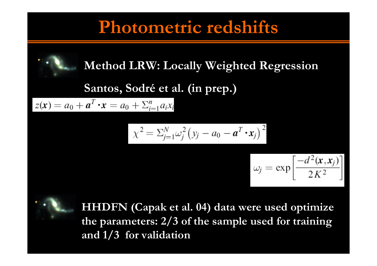#### Photometric redshifts

#### Method LRW: Locally Weighted Regression

# Santos, Sodré et al. (in prep.)<br>  $z(x) = a_0 + a^T \cdot x = a_0 + \sum_{i=1}^n a_i x_i$

$$
\chi^2 = \sum_{j=1}^N \omega_j^2 (y_j - a_0 - \boldsymbol{a}^T \boldsymbol{\cdot} \boldsymbol{x}_j)^2
$$

$$
\omega_j = \exp\left[\frac{-d^2(\mathbf{x}, \mathbf{x}_j)}{2K^2}\right]
$$



HHDFN (Capak et al. 04) data were used optimize the parameters: 2/3 of the sample used for training and 1/3 for validation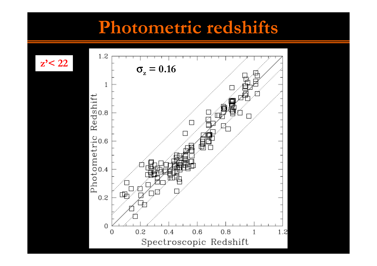#### Photometric redshifts

 $z' < 22$ 

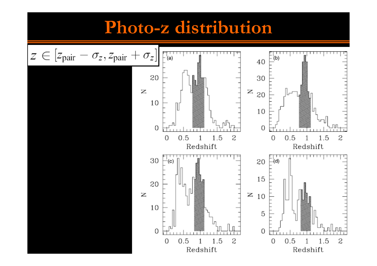#### Photo-z distribution

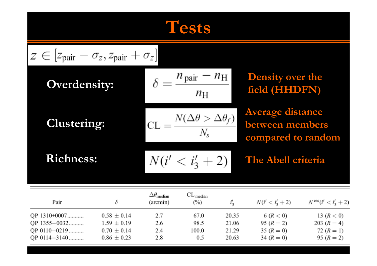## Tests

| $z \in [z_{\text{pair}} - \sigma_z, z_{\text{pair}} + \sigma_z]$ |                                                                          |                                                 |                                  |                                  |                                                                  |                                                               |  |  |
|------------------------------------------------------------------|--------------------------------------------------------------------------|-------------------------------------------------|----------------------------------|----------------------------------|------------------------------------------------------------------|---------------------------------------------------------------|--|--|
| <b>Overdensity:</b>                                              |                                                                          | $n_{\text{pair}} - n_{\text{H}}$<br>$n_{\rm H}$ |                                  |                                  | <b>Density over the</b><br>field (HHDFN)                         |                                                               |  |  |
| <b>Clustering:</b>                                               |                                                                          | $=\frac{N(\Delta\theta>\Delta\theta_f)}{N}$     |                                  |                                  | <b>Average distance</b><br>between members<br>compared to random |                                                               |  |  |
| <b>Richness:</b>                                                 |                                                                          | $N(i' < i'_3 + 2)$                              |                                  |                                  | The Abell criteria                                               |                                                               |  |  |
| Pair                                                             | δ                                                                        | $\Delta\theta_{\rm median}$<br>(arcmin)         | $CL$ <sub>median</sub><br>$(\%)$ | $i'_2$                           | $N(i' < i'_{3} + 2)$                                             | $N^{\text{esc}}(i' < i'_3 + 2)$                               |  |  |
| QP 1310+0007<br>QP 1355-0032<br>QP 0110-0219<br>QP 0114-3140     | $0.58 \pm 0.14$<br>$1.59 \pm 0.19$<br>$0.70 \pm 0.14$<br>$0.86 \pm 0.23$ | 2.7<br>2.6<br>2.4<br>2.8                        | 67.0<br>98.5<br>100.0<br>0.5     | 20.35<br>21.06<br>21.29<br>20.63 | 6 (R < 0)<br>95 $(R = 2)$<br>$35 (R = 0)$<br>34 $(R = 0)$        | 13 $(R < 0)$<br>203 $(R = 4)$<br>72 $(R = 1)$<br>95 $(R = 2)$ |  |  |

 $0.86\,\pm\,0.23$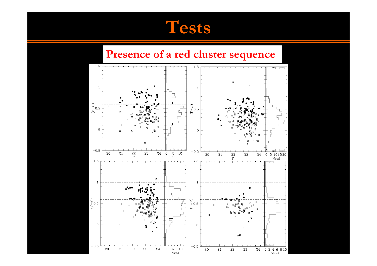#### **Tests**

## Presence of a red cluster sequence

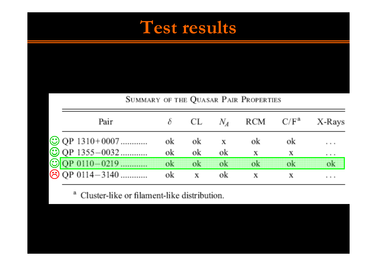#### Test results

| SUMMARY OF THE QUASAR PAIR PROPERTIES |    |      |              |      |               |                                          |
|---------------------------------------|----|------|--------------|------|---------------|------------------------------------------|
| Pair                                  |    | CL.  | $N_A$        |      | $RCM$ $C/F^a$ | X-Rays                                   |
| $\odot$ QP 1310+0007                  | ok | оk   | Х            | оk   | оk            | $\alpha = \alpha = \alpha$               |
| $\bigodot$ QP 1355-0032               | ok | ok   | ok           | Х    | Х             | $\mathbf{u} = \mathbf{u} + \mathbf{u}$ . |
| © QP 0110-0219                        | mk | tik. | $\mathbf{u}$ | na a | n di d        | nk                                       |
| ⊙ QP 0114-3140                        | ok | Х    | оk           |      |               | <b>A 4 8</b>                             |

<sup>a</sup> Cluster-like or filament-like distribution.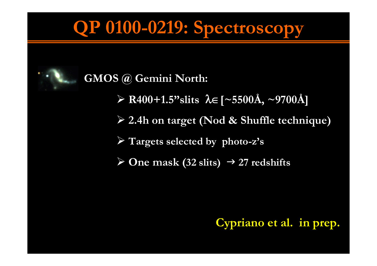## QP 0100-0219: Spectroscopy



#### GMOS @ Gemini North:

- R400+1.5"slits λ∈[~5500Å, ~9700Å]
- 2.4h on target (Nod & Shuffle technique)
- Targets selected by <sup>p</sup>hoto-z's
- $\triangleright$  One mask (32 slits)  $\rightarrow$  27 redshifts

#### Cypriano et al. in prep.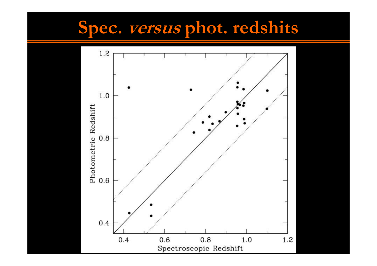## Spec. *versus* phot. redshits

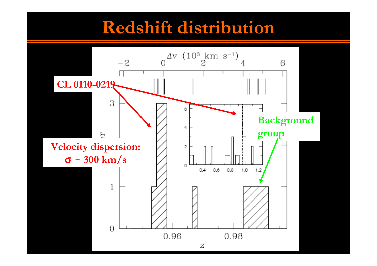#### Redshift distribution

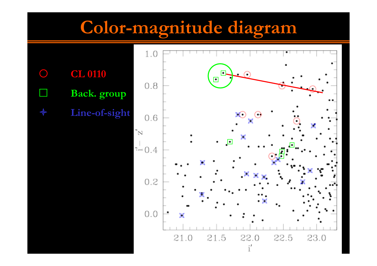## Color-magnitude diagram

 $\bigcirc$  CL 0110 - Back. group ✦ Line-of-sight

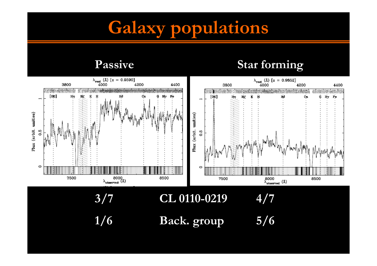## Galaxy populations

Passive

#### Star forming

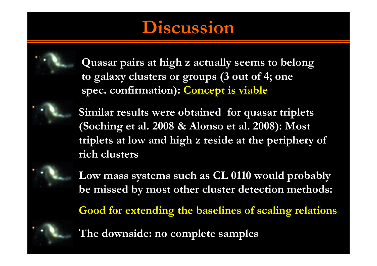#### **Discussion**



Quasar pairs at high z actually seems to belong to galaxy clusters or groups (3 out of 4; one spec. confirmation): Concept is viable

Similar results were obtained for quasar triplets (Soching et al. 2008 & Alonso et al. 2008): Most triplets at low and high z reside at the periphery of rich clusters



Low mass systems such as CL 0110 would probably be missed by most other cluster detection methods:

Good for extending the baselines of scaling relations



The downside: no complete samples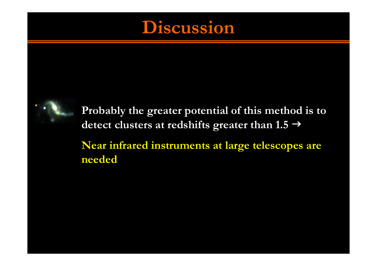#### Discussion



Probably the greater potential of this method is to detect clusters at redshifts greater than  $1.5 \rightarrow$ Near infrared instruments at large telescopes are needed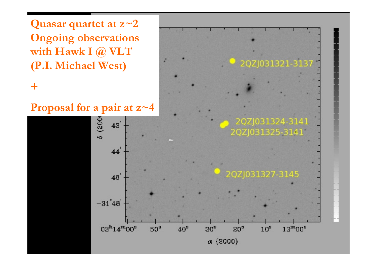Quasar quartet at  $z$ ~2 Ongoing observations with Hawk I @ VLT (P.I. Michael West)

#### $+$



2QZJ031321-3131